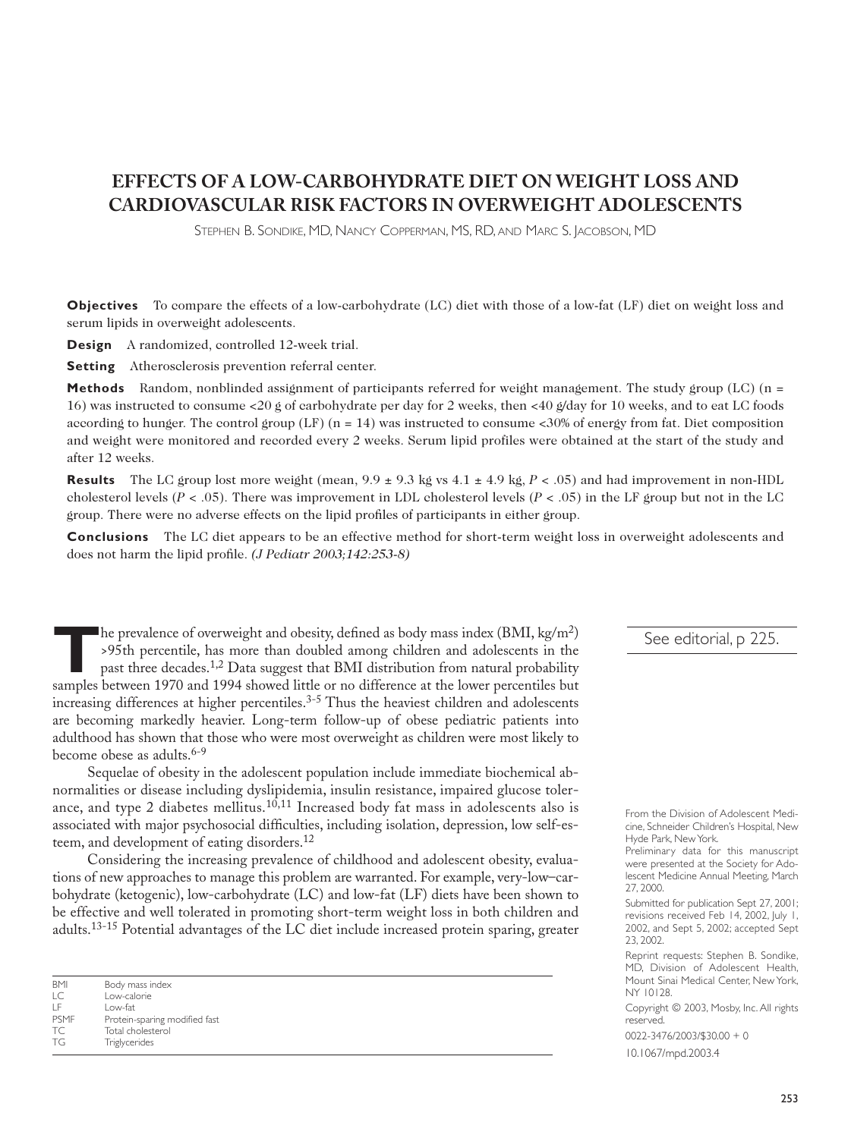# **EFFECTS OF A LOW-CARBOHYDRATE DIET ON WEIGHT LOSS AND CARDIOVASCULAR RISK FACTORS IN OVERWEIGHT ADOLESCENTS**

STEPHEN B. SONDIKE, MD, NANCY COPPERMAN, MS, RD, AND MARC S. JACOBSON, MD

**Objectives** To compare the effects of a low-carbohydrate (LC) diet with those of a low-fat (LF) diet on weight loss and serum lipids in overweight adolescents.

**Design** A randomized, controlled 12-week trial.

**Setting** Atherosclerosis prevention referral center.

**Methods** Random, nonblinded assignment of participants referred for weight management. The study group (LC) (n = 16) was instructed to consume <20 g of carbohydrate per day for 2 weeks, then <40 g/day for 10 weeks, and to eat LC foods according to hunger. The control group  $(LF)$  (n = 14) was instructed to consume <30% of energy from fat. Diet composition and weight were monitored and recorded every 2 weeks. Serum lipid profiles were obtained at the start of the study and after 12 weeks.

**Results** The LC group lost more weight (mean,  $9.9 \pm 9.3$  kg vs  $4.1 \pm 4.9$  kg,  $P < .05$ ) and had improvement in non-HDL cholesterol levels ( $P < .05$ ). There was improvement in LDL cholesterol levels ( $P < .05$ ) in the LF group but not in the LC group. There were no adverse effects on the lipid profiles of participants in either group.

**Conclusions** The LC diet appears to be an effective method for short-term weight loss in overweight adolescents and does not harm the lipid profile. *(J Pediatr 2003;142:253-8)*

The prevalence of overweight and obesity, defined as body mass index  $(BMI, kg/m^2)$ >95th percentile, has more than doubled among children and adolescents in the past three decades.1,2 Data suggest that BMI distribution from natural probability samples between 1970 and 1994 showed little or no difference at the lower percentiles but increasing differences at higher percentiles.<sup>3-5</sup> Thus the heaviest children and adolescents are becoming markedly heavier. Long-term follow-up of obese pediatric patients into adulthood has shown that those who were most overweight as children were most likely to become obese as adults.<sup>6-9</sup>

Sequelae of obesity in the adolescent population include immediate biochemical abnormalities or disease including dyslipidemia, insulin resistance, impaired glucose tolerance, and type 2 diabetes mellitus.<sup>10,11</sup> Increased body fat mass in adolescents also is associated with major psychosocial difficulties, including isolation, depression, low self-esteem, and development of eating disorders.12

Considering the increasing prevalence of childhood and adolescent obesity, evaluations of new approaches to manage this problem are warranted. For example, very-low–carbohydrate (ketogenic), low-carbohydrate (LC) and low-fat (LF) diets have been shown to be effective and well tolerated in promoting short-term weight loss in both children and adults.13-15 Potential advantages of the LC diet include increased protein sparing, greater

| <b>BMI</b>               | Body mass index               |
|--------------------------|-------------------------------|
| $\overline{\mathcal{C}}$ | I ow-calorie                  |
| ΤF                       | l ow-fat                      |
| <b>PSMF</b>              | Protein-sparing modified fast |
| TC.                      | Total cholesterol             |
| TG                       | Triglycerides                 |
|                          |                               |

#### See editorial, p 225.

Preliminary data for this manuscript were presented at the Society for Adolescent Medicine Annual Meeting, March 27, 2000.

Submitted for publication Sept 27, 2001; revisions received Feb 14, 2002, July 1, 2002, and Sept 5, 2002; accepted Sept 23, 2002.

Reprint requests: Stephen B. Sondike, MD, Division of Adolescent Health, Mount Sinai Medical Center, New York, NY 10128.

Copyright © 2003, Mosby, Inc. All rights reserved.

0022-3476/2003/\$30.00 + 0

10.1067/mpd.2003.4

From the Division of Adolescent Medicine, Schneider Children's Hospital, New Hyde Park, New York.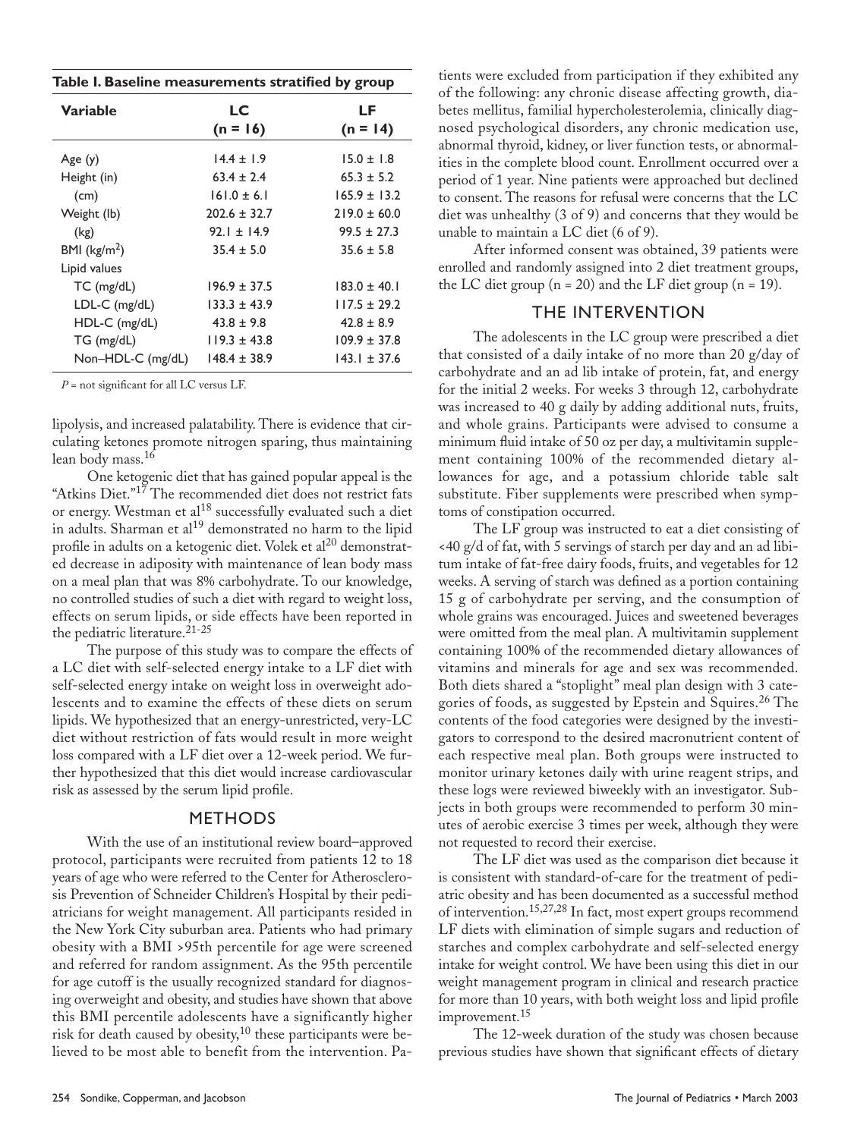| Table I. Baseline measurements stratified by group |                  |                  |  |  |  |
|----------------------------------------------------|------------------|------------------|--|--|--|
| Variable                                           | LC<br>$(n = 16)$ | LF<br>$(n = 14)$ |  |  |  |
| Age(y)                                             | $14.4 \pm 1.9$   | $15.0 \pm 1.8$   |  |  |  |
| Height (in)                                        | $63.4 \pm 2.4$   | $65.3 \pm 5.2$   |  |  |  |
| (cm)                                               | $161.0 \pm 6.1$  | $165.9 \pm 13.2$ |  |  |  |
| Weight (lb)                                        | $202.6 \pm 32.7$ | $219.0 \pm 60.0$ |  |  |  |
| (kg)                                               | $92.1 + 14.9$    | $99.5 \pm 27.3$  |  |  |  |
| BMI ( $\text{kg/m}^2$ )                            | $35.4 \pm 5.0$   | $35.6 \pm 5.8$   |  |  |  |
| Lipid values                                       |                  |                  |  |  |  |
| $TC$ (mg/dL)                                       | $196.9 \pm 37.5$ | $183.0 \pm 40.1$ |  |  |  |
| LDL-C (mg/dL)                                      | $133.3 \pm 43.9$ | $117.5 \pm 29.2$ |  |  |  |
| $HDL-C$ (mg/dL)                                    | $43.8 \pm 9.8$   | $42.8 \pm 8.9$   |  |  |  |
| TG (mg/dL)                                         | $119.3 \pm 43.8$ | $109.9 \pm 37.8$ |  |  |  |
| Non-HDL-C (mg/dL)                                  | $148.4 \pm 38.9$ | $143.1 \pm 37.6$ |  |  |  |

*P* = not significant for all LC versus LF.

lipolysis, and increased palatability. There is evidence that circulating ketones promote nitrogen sparing, thus maintaining lean body mass.16

One ketogenic diet that has gained popular appeal is the "Atkins Diet."<sup>17</sup> The recommended diet does not restrict fats or energy. Westman et al<sup>18</sup> successfully evaluated such a diet in adults. Sharman et  $al^{19}$  demonstrated no harm to the lipid profile in adults on a ketogenic diet. Volek et al<sup>20</sup> demonstrated decrease in adiposity with maintenance of lean body mass on a meal plan that was 8% carbohydrate. To our knowledge, no controlled studies of such a diet with regard to weight loss, effects on serum lipids, or side effects have been reported in the pediatric literature.<sup>21-25</sup>

The purpose of this study was to compare the effects of a LC diet with self-selected energy intake to a LF diet with self-selected energy intake on weight loss in overweight adolescents and to examine the effects of these diets on serum lipids. We hypothesized that an energy-unrestricted, very-LC diet without restriction of fats would result in more weight loss compared with a LF diet over a 12-week period. We further hypothesized that this diet would increase cardiovascular risk as assessed by the serum lipid profile.

#### METHODS

With the use of an institutional review board–approved protocol, participants were recruited from patients 12 to 18 years of age who were referred to the Center for Atherosclerosis Prevention of Schneider Children's Hospital by their pediatricians for weight management. All participants resided in the New York City suburban area. Patients who had primary obesity with a BMI >95th percentile for age were screened and referred for random assignment. As the 95th percentile for age cutoff is the usually recognized standard for diagnosing overweight and obesity, and studies have shown that above this BMI percentile adolescents have a significantly higher risk for death caused by obesity, $10$  these participants were believed to be most able to benefit from the intervention. Patients were excluded from participation if they exhibited any of the following: any chronic disease affecting growth, diabetes mellitus, familial hypercholesterolemia, clinically diagnosed psychological disorders, any chronic medication use, abnormal thyroid, kidney, or liver function tests, or abnormalities in the complete blood count. Enrollment occurred over a period of 1 year. Nine patients were approached but declined to consent. The reasons for refusal were concerns that the LC diet was unhealthy (3 of 9) and concerns that they would be unable to maintain a LC diet (6 of 9).

After informed consent was obtained, 39 patients were enrolled and randomly assigned into 2 diet treatment groups, the LC diet group  $(n = 20)$  and the LF diet group  $(n = 19)$ .

### THE INTERVENTION

The adolescents in the LC group were prescribed a diet that consisted of a daily intake of no more than 20 g/day of carbohydrate and an ad lib intake of protein, fat, and energy for the initial 2 weeks. For weeks 3 through 12, carbohydrate was increased to 40 g daily by adding additional nuts, fruits, and whole grains. Participants were advised to consume a minimum fluid intake of 50 oz per day, a multivitamin supplement containing 100% of the recommended dietary allowances for age, and a potassium chloride table salt substitute. Fiber supplements were prescribed when symptoms of constipation occurred.

The LF group was instructed to eat a diet consisting of <40 g/d of fat, with 5 servings of starch per day and an ad libitum intake of fat-free dairy foods, fruits, and vegetables for 12 weeks. A serving of starch was defined as a portion containing 15 g of carbohydrate per serving, and the consumption of whole grains was encouraged. Juices and sweetened beverages were omitted from the meal plan. A multivitamin supplement containing 100% of the recommended dietary allowances of vitamins and minerals for age and sex was recommended. Both diets shared a "stoplight" meal plan design with 3 categories of foods, as suggested by Epstein and Squires.<sup>26</sup> The contents of the food categories were designed by the investigators to correspond to the desired macronutrient content of each respective meal plan. Both groups were instructed to monitor urinary ketones daily with urine reagent strips, and these logs were reviewed biweekly with an investigator. Subjects in both groups were recommended to perform 30 minutes of aerobic exercise 3 times per week, although they were not requested to record their exercise.

The LF diet was used as the comparison diet because it is consistent with standard-of-care for the treatment of pediatric obesity and has been documented as a successful method of intervention.15,27,28 In fact, most expert groups recommend LF diets with elimination of simple sugars and reduction of starches and complex carbohydrate and self-selected energy intake for weight control. We have been using this diet in our weight management program in clinical and research practice for more than 10 years, with both weight loss and lipid profile improvement.<sup>15</sup>

The 12-week duration of the study was chosen because previous studies have shown that significant effects of dietary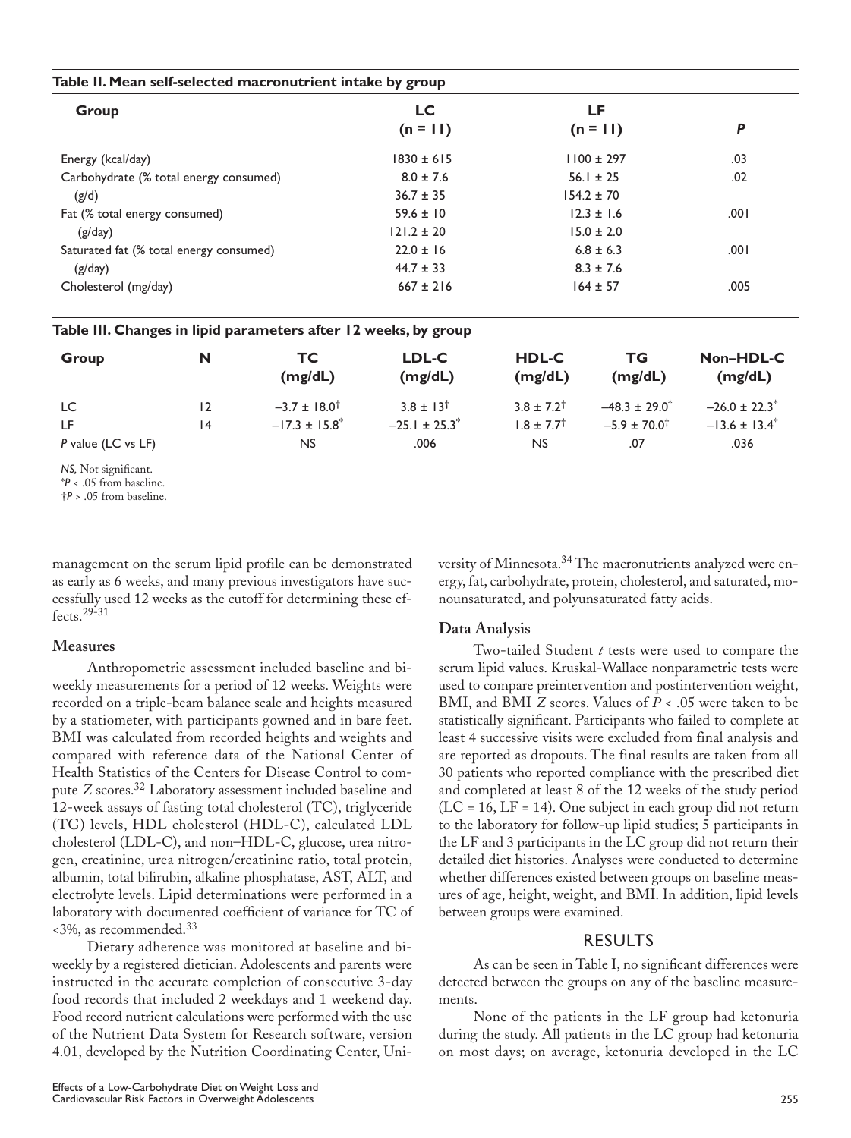|                                         |    | Table II. Mean self-selected macronutrient intake by group      |                  |                         |                    |                               |
|-----------------------------------------|----|-----------------------------------------------------------------|------------------|-------------------------|--------------------|-------------------------------|
| Group                                   |    |                                                                 | LC.              | LF                      |                    |                               |
|                                         |    |                                                                 | $(n = 11)$       |                         | $(n = 11)$         | P                             |
| Energy (kcal/day)                       |    | $1830 \pm 615$                                                  | $1100 \pm 297$   |                         | .03                |                               |
| Carbohydrate (% total energy consumed)  |    |                                                                 | $8.0 \pm 7.6$    | $56.1 \pm 25$           |                    | .02                           |
| (g/d)                                   |    |                                                                 | $36.7 \pm 35$    | $154.2 \pm 70$          |                    |                               |
| Fat (% total energy consumed)           |    |                                                                 | $59.6 \pm 10$    | $12.3 \pm 1.6$          |                    | .001                          |
| (g/day)                                 |    | $121.2 \pm 20$                                                  | $15.0 \pm 2.0$   |                         |                    |                               |
| Saturated fat (% total energy consumed) |    |                                                                 | $22.0 \pm 16$    | $6.8 \pm 6.3$           |                    | .001                          |
| (g/day)                                 |    |                                                                 | $44.7 \pm 33$    | $8.3 \pm 7.6$           |                    |                               |
| Cholesterol (mg/day)                    |    |                                                                 | $667 \pm 216$    | $164 \pm 57$            |                    | .005                          |
|                                         |    | Table III. Changes in lipid parameters after 12 weeks, by group |                  |                         |                    |                               |
| Group                                   | N  | TC.<br>(mg/dL)                                                  | LDL-C<br>(mg/dL) | <b>HDL-C</b><br>(mg/dL) | ТG<br>(mg/dL)      | Non-HDL-C<br>(mg/dL)          |
| LC                                      | 12 | $-3.7 \pm 18.0^{\dagger}$                                       | $3.8 \pm 13^{+}$ | $3.8 \pm 7.2^{\dagger}$ | $-48.3 \pm 29.0^*$ | $-26.0 \pm 22.3$ <sup>*</sup> |

LF 14  $-17.3 \pm 15.8^*$   $-25.1 \pm 25.3^*$   $1.8 \pm 7.7^{\dagger}$   $-5.9 \pm 70.0^{\dagger}$   $-13.6 \pm 13.4^*$ *P* value (LC vs LF) **NS** .006 .036 .036

*NS,* Not significant. \**P* < .05 from baseline.

†*P* > .05 from baseline.

management on the serum lipid profile can be demonstrated as early as 6 weeks, and many previous investigators have successfully used 12 weeks as the cutoff for determining these effects.29-31

## **Measures**

Anthropometric assessment included baseline and biweekly measurements for a period of 12 weeks. Weights were recorded on a triple-beam balance scale and heights measured by a statiometer, with participants gowned and in bare feet. BMI was calculated from recorded heights and weights and compared with reference data of the National Center of Health Statistics of the Centers for Disease Control to compute *Z* scores.<sup>32</sup> Laboratory assessment included baseline and 12-week assays of fasting total cholesterol (TC), triglyceride (TG) levels, HDL cholesterol (HDL-C), calculated LDL cholesterol (LDL-C), and non–HDL-C, glucose, urea nitrogen, creatinine, urea nitrogen/creatinine ratio, total protein, albumin, total bilirubin, alkaline phosphatase, AST, ALT, and electrolyte levels. Lipid determinations were performed in a laboratory with documented coefficient of variance for TC of  $\langle 3\%, \text{as recommended.} \rangle^{33}$ 

Dietary adherence was monitored at baseline and biweekly by a registered dietician. Adolescents and parents were instructed in the accurate completion of consecutive 3-day food records that included 2 weekdays and 1 weekend day. Food record nutrient calculations were performed with the use of the Nutrient Data System for Research software, version 4.01, developed by the Nutrition Coordinating Center, University of Minnesota.34 The macronutrients analyzed were energy, fat, carbohydrate, protein, cholesterol, and saturated, monounsaturated, and polyunsaturated fatty acids.

# **Data Analysis**

Two-tailed Student *t* tests were used to compare the serum lipid values. Kruskal-Wallace nonparametric tests were used to compare preintervention and postintervention weight, BMI, and BMI *Z* scores. Values of *P* < .05 were taken to be statistically significant. Participants who failed to complete at least 4 successive visits were excluded from final analysis and are reported as dropouts. The final results are taken from all 30 patients who reported compliance with the prescribed diet and completed at least 8 of the 12 weeks of the study period  $(LC = 16, LF = 14)$ . One subject in each group did not return to the laboratory for follow-up lipid studies; 5 participants in the LF and 3 participants in the LC group did not return their detailed diet histories. Analyses were conducted to determine whether differences existed between groups on baseline measures of age, height, weight, and BMI. In addition, lipid levels between groups were examined.

# RESULTS

As can be seen in Table I, no significant differences were detected between the groups on any of the baseline measurements.

None of the patients in the LF group had ketonuria during the study. All patients in the LC group had ketonuria on most days; on average, ketonuria developed in the LC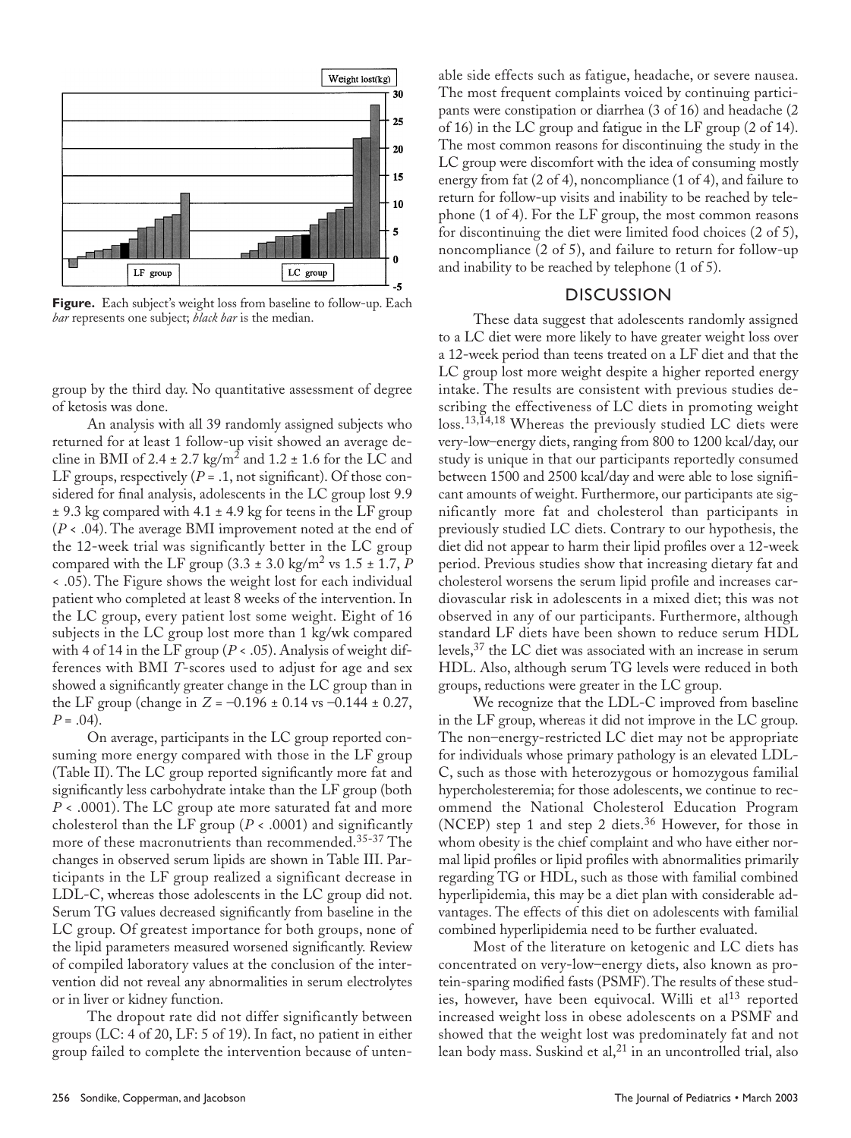

**Figure.** Each subject's weight loss from baseline to follow-up. Each *bar* represents one subject; *black bar* is the median.

group by the third day. No quantitative assessment of degree of ketosis was done.

An analysis with all 39 randomly assigned subjects who returned for at least 1 follow-up visit showed an average decline in BMI of 2.4  $\pm$  2.7 kg/m<sup>2</sup> and 1.2  $\pm$  1.6 for the LC and LF groups, respectively  $(P = .1, \text{not significant})$ . Of those considered for final analysis, adolescents in the LC group lost 9.9  $\pm$  9.3 kg compared with 4.1  $\pm$  4.9 kg for teens in the LF group (*P* < .04). The average BMI improvement noted at the end of the 12-week trial was significantly better in the LC group compared with the LF group  $(3.3 \pm 3.0 \text{ kg/m}^2 \text{ vs } 1.5 \pm 1.7, P)$ < .05). The Figure shows the weight lost for each individual patient who completed at least 8 weeks of the intervention. In the LC group, every patient lost some weight. Eight of 16 subjects in the LC group lost more than 1 kg/wk compared with 4 of 14 in the LF group ( $P < .05$ ). Analysis of weight differences with BMI *T*-scores used to adjust for age and sex showed a significantly greater change in the LC group than in the LF group (change in  $Z = -0.196 \pm 0.14$  vs  $-0.144 \pm 0.27$ ,  $P = .04$ ).

On average, participants in the LC group reported consuming more energy compared with those in the LF group (Table II). The LC group reported significantly more fat and significantly less carbohydrate intake than the LF group (both *P* < .0001). The LC group ate more saturated fat and more cholesterol than the LF group ( $P < .0001$ ) and significantly more of these macronutrients than recommended.<sup>35-37</sup> The changes in observed serum lipids are shown in Table III. Participants in the LF group realized a significant decrease in LDL-C, whereas those adolescents in the LC group did not. Serum TG values decreased significantly from baseline in the LC group. Of greatest importance for both groups, none of the lipid parameters measured worsened significantly. Review of compiled laboratory values at the conclusion of the intervention did not reveal any abnormalities in serum electrolytes or in liver or kidney function.

The dropout rate did not differ significantly between groups (LC: 4 of 20, LF: 5 of 19). In fact, no patient in either group failed to complete the intervention because of untenable side effects such as fatigue, headache, or severe nausea. The most frequent complaints voiced by continuing participants were constipation or diarrhea (3 of 16) and headache (2 of 16) in the LC group and fatigue in the LF group (2 of 14). The most common reasons for discontinuing the study in the LC group were discomfort with the idea of consuming mostly energy from fat (2 of 4), noncompliance (1 of 4), and failure to return for follow-up visits and inability to be reached by telephone (1 of 4). For the LF group, the most common reasons for discontinuing the diet were limited food choices (2 of 5), noncompliance (2 of 5), and failure to return for follow-up and inability to be reached by telephone (1 of 5).

#### **DISCUSSION**

These data suggest that adolescents randomly assigned to a LC diet were more likely to have greater weight loss over a 12-week period than teens treated on a LF diet and that the LC group lost more weight despite a higher reported energy intake. The results are consistent with previous studies describing the effectiveness of LC diets in promoting weight loss.<sup>13,14,18</sup> Whereas the previously studied LC diets were very-low–energy diets, ranging from 800 to 1200 kcal/day, our study is unique in that our participants reportedly consumed between 1500 and 2500 kcal/day and were able to lose significant amounts of weight. Furthermore, our participants ate significantly more fat and cholesterol than participants in previously studied LC diets. Contrary to our hypothesis, the diet did not appear to harm their lipid profiles over a 12-week period. Previous studies show that increasing dietary fat and cholesterol worsens the serum lipid profile and increases cardiovascular risk in adolescents in a mixed diet; this was not observed in any of our participants. Furthermore, although standard LF diets have been shown to reduce serum HDL levels,<sup>37</sup> the LC diet was associated with an increase in serum HDL. Also, although serum TG levels were reduced in both groups, reductions were greater in the LC group.

We recognize that the LDL-C improved from baseline in the LF group, whereas it did not improve in the LC group. The non–energy-restricted LC diet may not be appropriate for individuals whose primary pathology is an elevated LDL-C, such as those with heterozygous or homozygous familial hypercholesteremia; for those adolescents, we continue to recommend the National Cholesterol Education Program (NCEP) step 1 and step 2 diets.<sup>36</sup> However, for those in whom obesity is the chief complaint and who have either normal lipid profiles or lipid profiles with abnormalities primarily regarding TG or HDL, such as those with familial combined hyperlipidemia, this may be a diet plan with considerable advantages. The effects of this diet on adolescents with familial combined hyperlipidemia need to be further evaluated.

Most of the literature on ketogenic and LC diets has concentrated on very-low–energy diets, also known as protein-sparing modified fasts (PSMF). The results of these studies, however, have been equivocal. Willi et  $al<sup>13</sup>$  reported increased weight loss in obese adolescents on a PSMF and showed that the weight lost was predominately fat and not lean body mass. Suskind et al, $^{21}$  in an uncontrolled trial, also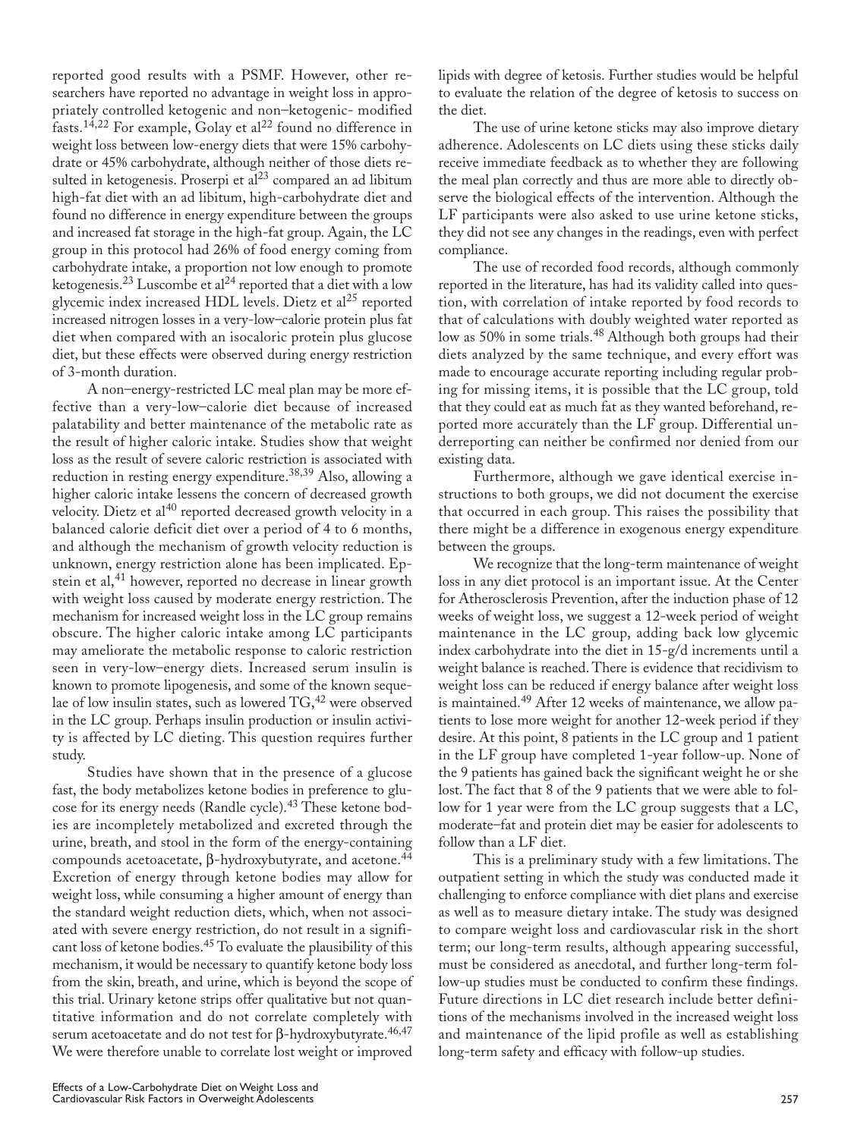reported good results with a PSMF. However, other researchers have reported no advantage in weight loss in appropriately controlled ketogenic and non–ketogenic- modified  $fasts.$ <sup>14,22</sup> For example, Golay et al<sup>22</sup> found no difference in weight loss between low-energy diets that were 15% carbohydrate or 45% carbohydrate, although neither of those diets resulted in ketogenesis. Proserpi et al<sup>23</sup> compared an ad libitum high-fat diet with an ad libitum, high-carbohydrate diet and found no difference in energy expenditure between the groups and increased fat storage in the high-fat group. Again, the LC group in this protocol had 26% of food energy coming from carbohydrate intake, a proportion not low enough to promote ketogenesis.<sup>23</sup> Luscombe et al<sup>24</sup> reported that a diet with a low glycemic index increased HDL levels. Dietz et al<sup>25</sup> reported increased nitrogen losses in a very-low–calorie protein plus fat diet when compared with an isocaloric protein plus glucose diet, but these effects were observed during energy restriction of 3-month duration.

A non–energy-restricted LC meal plan may be more effective than a very-low–calorie diet because of increased palatability and better maintenance of the metabolic rate as the result of higher caloric intake. Studies show that weight loss as the result of severe caloric restriction is associated with reduction in resting energy expenditure.<sup>38,39</sup> Also, allowing a higher caloric intake lessens the concern of decreased growth velocity. Dietz et al<sup>40</sup> reported decreased growth velocity in a balanced calorie deficit diet over a period of 4 to 6 months, and although the mechanism of growth velocity reduction is unknown, energy restriction alone has been implicated. Epstein et al, $41$  however, reported no decrease in linear growth with weight loss caused by moderate energy restriction. The mechanism for increased weight loss in the LC group remains obscure. The higher caloric intake among LC participants may ameliorate the metabolic response to caloric restriction seen in very-low–energy diets. Increased serum insulin is known to promote lipogenesis, and some of the known sequelae of low insulin states, such as lowered TG,<sup>42</sup> were observed in the LC group. Perhaps insulin production or insulin activity is affected by LC dieting. This question requires further study.

Studies have shown that in the presence of a glucose fast, the body metabolizes ketone bodies in preference to glucose for its energy needs (Randle cycle).<sup>43</sup> These ketone bodies are incompletely metabolized and excreted through the urine, breath, and stool in the form of the energy-containing compounds acetoacetate, β-hydroxybutyrate, and acetone.<sup>44</sup> Excretion of energy through ketone bodies may allow for weight loss, while consuming a higher amount of energy than the standard weight reduction diets, which, when not associated with severe energy restriction, do not result in a significant loss of ketone bodies.45 To evaluate the plausibility of this mechanism, it would be necessary to quantify ketone body loss from the skin, breath, and urine, which is beyond the scope of this trial. Urinary ketone strips offer qualitative but not quantitative information and do not correlate completely with serum acetoacetate and do not test for β-hydroxybutyrate.<sup>46,47</sup> We were therefore unable to correlate lost weight or improved lipids with degree of ketosis. Further studies would be helpful to evaluate the relation of the degree of ketosis to success on the diet.

The use of urine ketone sticks may also improve dietary adherence. Adolescents on LC diets using these sticks daily receive immediate feedback as to whether they are following the meal plan correctly and thus are more able to directly observe the biological effects of the intervention. Although the LF participants were also asked to use urine ketone sticks, they did not see any changes in the readings, even with perfect compliance.

The use of recorded food records, although commonly reported in the literature, has had its validity called into question, with correlation of intake reported by food records to that of calculations with doubly weighted water reported as low as 50% in some trials.<sup>48</sup> Although both groups had their diets analyzed by the same technique, and every effort was made to encourage accurate reporting including regular probing for missing items, it is possible that the LC group, told that they could eat as much fat as they wanted beforehand, reported more accurately than the LF group. Differential underreporting can neither be confirmed nor denied from our existing data.

Furthermore, although we gave identical exercise instructions to both groups, we did not document the exercise that occurred in each group. This raises the possibility that there might be a difference in exogenous energy expenditure between the groups.

We recognize that the long-term maintenance of weight loss in any diet protocol is an important issue. At the Center for Atherosclerosis Prevention, after the induction phase of 12 weeks of weight loss, we suggest a 12-week period of weight maintenance in the LC group, adding back low glycemic index carbohydrate into the diet in 15-g/d increments until a weight balance is reached. There is evidence that recidivism to weight loss can be reduced if energy balance after weight loss is maintained.49 After 12 weeks of maintenance, we allow patients to lose more weight for another 12-week period if they desire. At this point, 8 patients in the LC group and 1 patient in the LF group have completed 1-year follow-up. None of the 9 patients has gained back the significant weight he or she lost. The fact that 8 of the 9 patients that we were able to follow for 1 year were from the LC group suggests that a LC, moderate–fat and protein diet may be easier for adolescents to follow than a LF diet.

This is a preliminary study with a few limitations. The outpatient setting in which the study was conducted made it challenging to enforce compliance with diet plans and exercise as well as to measure dietary intake. The study was designed to compare weight loss and cardiovascular risk in the short term; our long-term results, although appearing successful, must be considered as anecdotal, and further long-term follow-up studies must be conducted to confirm these findings. Future directions in LC diet research include better definitions of the mechanisms involved in the increased weight loss and maintenance of the lipid profile as well as establishing long-term safety and efficacy with follow-up studies.